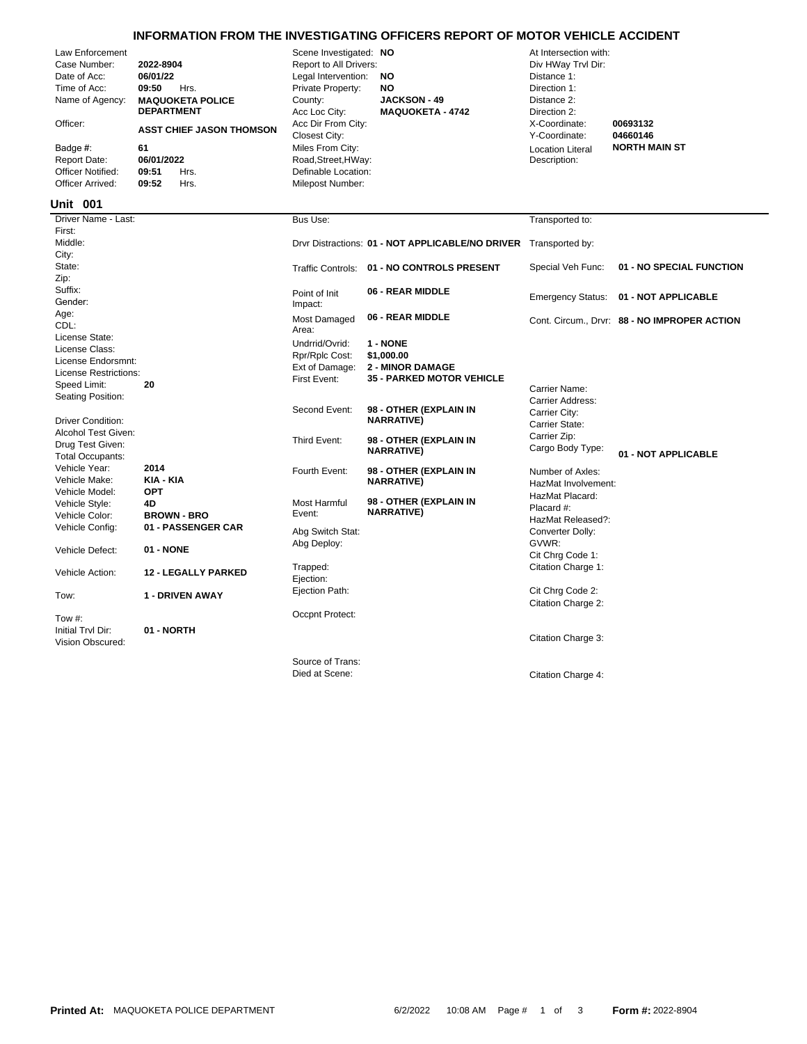## **INFORMATION FROM THE INVESTIGATING OFFICERS REPORT OF MOTOR VEHICLE ACCIDENT**

| Law Enforcement<br>Case Number:<br>Date of Acc:<br>Time of Acc:<br>Name of Agency:<br>Officer:<br>Badge #:<br><b>Report Date:</b><br><b>Officer Notified:</b><br>Officer Arrived:<br>Unit 001 | 2022-8904<br>06/01/22<br>09:50<br>Hrs.<br><b>MAQUOKETA POLICE</b><br><b>DEPARTMENT</b><br><b>ASST CHIEF JASON THOMSON</b><br>61<br>06/01/2022<br>09:51<br>Hrs.<br>09:52<br>Hrs. | Scene Investigated: NO<br>Report to All Drivers:<br>Legal Intervention:<br>Private Property:<br>County:<br>Acc Loc City:<br>Acc Dir From City:<br><b>Closest City:</b><br>Miles From City:<br>Road, Street, HWay:<br>Definable Location:<br>Milepost Number: | <b>NO</b><br>NO<br><b>JACKSON - 49</b><br><b>MAQUOKETA - 4742</b>              | At Intersection with:<br>Div HWay Trvl Dir:<br>Distance 1:<br>Direction 1:<br>Distance 2:<br>Direction 2:<br>X-Coordinate:<br>Y-Coordinate:<br><b>Location Literal</b><br>Description: | 00693132<br>04660146<br><b>NORTH MAIN ST</b> |
|-----------------------------------------------------------------------------------------------------------------------------------------------------------------------------------------------|---------------------------------------------------------------------------------------------------------------------------------------------------------------------------------|--------------------------------------------------------------------------------------------------------------------------------------------------------------------------------------------------------------------------------------------------------------|--------------------------------------------------------------------------------|----------------------------------------------------------------------------------------------------------------------------------------------------------------------------------------|----------------------------------------------|
| Driver Name - Last:                                                                                                                                                                           |                                                                                                                                                                                 | Bus Use:                                                                                                                                                                                                                                                     |                                                                                | Transported to:                                                                                                                                                                        |                                              |
| First:<br>Middle:<br>City:                                                                                                                                                                    |                                                                                                                                                                                 |                                                                                                                                                                                                                                                              | Drvr Distractions: 01 - NOT APPLICABLE/NO DRIVER Transported by:               |                                                                                                                                                                                        |                                              |
| State:                                                                                                                                                                                        |                                                                                                                                                                                 |                                                                                                                                                                                                                                                              | Traffic Controls: 01 - NO CONTROLS PRESENT                                     | Special Veh Func:                                                                                                                                                                      | 01 - NO SPECIAL FUNCTION                     |
| Zip:<br>Suffix:<br>Gender:                                                                                                                                                                    |                                                                                                                                                                                 | Point of Init<br>Impact:                                                                                                                                                                                                                                     | 06 - REAR MIDDLE                                                               | <b>Emergency Status:</b>                                                                                                                                                               | 01 - NOT APPLICABLE                          |
| Age:<br>CDL:                                                                                                                                                                                  |                                                                                                                                                                                 | Most Damaged<br>Area:                                                                                                                                                                                                                                        | 06 - REAR MIDDLE                                                               |                                                                                                                                                                                        | Cont. Circum., Drvr: 88 - NO IMPROPER ACTION |
| License State:<br>License Class:<br>License Endorsmnt:<br>License Restrictions:<br>Speed Limit:<br>Seating Position:                                                                          | 20                                                                                                                                                                              | Undrrid/Ovrid:<br>Rpr/Rplc Cost:<br>Ext of Damage:<br>First Event:                                                                                                                                                                                           | 1 - NONE<br>\$1,000.00<br><b>2 - MINOR DAMAGE</b><br>35 - PARKED MOTOR VEHICLE | Carrier Name:<br>Carrier Address:                                                                                                                                                      |                                              |
| <b>Driver Condition:</b><br>Alcohol Test Given:<br>Drug Test Given:                                                                                                                           |                                                                                                                                                                                 | Second Event:<br>Third Event:                                                                                                                                                                                                                                | 98 - OTHER (EXPLAIN IN<br><b>NARRATIVE</b> )<br>98 - OTHER (EXPLAIN IN         | Carrier City:<br>Carrier State:<br>Carrier Zip:                                                                                                                                        |                                              |
| <b>Total Occupants:</b>                                                                                                                                                                       |                                                                                                                                                                                 |                                                                                                                                                                                                                                                              | <b>NARRATIVE)</b>                                                              | Cargo Body Type:                                                                                                                                                                       | 01 - NOT APPLICABLE                          |
| Vehicle Year:<br>Vehicle Make:<br>Vehicle Model:                                                                                                                                              | 2014<br>KIA - KIA<br><b>OPT</b>                                                                                                                                                 | Fourth Event:                                                                                                                                                                                                                                                | 98 - OTHER (EXPLAIN IN<br><b>NARRATIVE)</b>                                    | Number of Axles:<br>HazMat Involvement:<br>HazMat Placard:                                                                                                                             |                                              |
| Vehicle Style:<br>Vehicle Color:                                                                                                                                                              | 4D<br><b>BROWN - BRO</b>                                                                                                                                                        | Most Harmful<br>Event:                                                                                                                                                                                                                                       | 98 - OTHER (EXPLAIN IN<br><b>NARRATIVE)</b>                                    | Placard #:<br>HazMat Released?:                                                                                                                                                        |                                              |
| Vehicle Config:                                                                                                                                                                               | 01 - PASSENGER CAR                                                                                                                                                              | Abg Switch Stat:<br>Abg Deploy:                                                                                                                                                                                                                              |                                                                                | Converter Dolly:<br>GVWR:                                                                                                                                                              |                                              |
| Vehicle Defect:                                                                                                                                                                               | 01 - NONE                                                                                                                                                                       |                                                                                                                                                                                                                                                              |                                                                                | Cit Chrg Code 1:                                                                                                                                                                       |                                              |
| Vehicle Action:                                                                                                                                                                               | <b>12 - LEGALLY PARKED</b>                                                                                                                                                      | Trapped:<br>Ejection:                                                                                                                                                                                                                                        |                                                                                | Citation Charge 1:                                                                                                                                                                     |                                              |
| Tow:                                                                                                                                                                                          | 1 - DRIVEN AWAY                                                                                                                                                                 | Ejection Path:                                                                                                                                                                                                                                               |                                                                                | Cit Chrg Code 2:<br>Citation Charge 2:                                                                                                                                                 |                                              |
| Tow #:<br>Initial Trvl Dir:<br>Vision Obscured:                                                                                                                                               | 01 - NORTH                                                                                                                                                                      | Occpnt Protect:                                                                                                                                                                                                                                              |                                                                                | Citation Charge 3:                                                                                                                                                                     |                                              |
|                                                                                                                                                                                               |                                                                                                                                                                                 |                                                                                                                                                                                                                                                              |                                                                                |                                                                                                                                                                                        |                                              |

Source of Trans:<br>Died at Scene:

Citation Charge 4: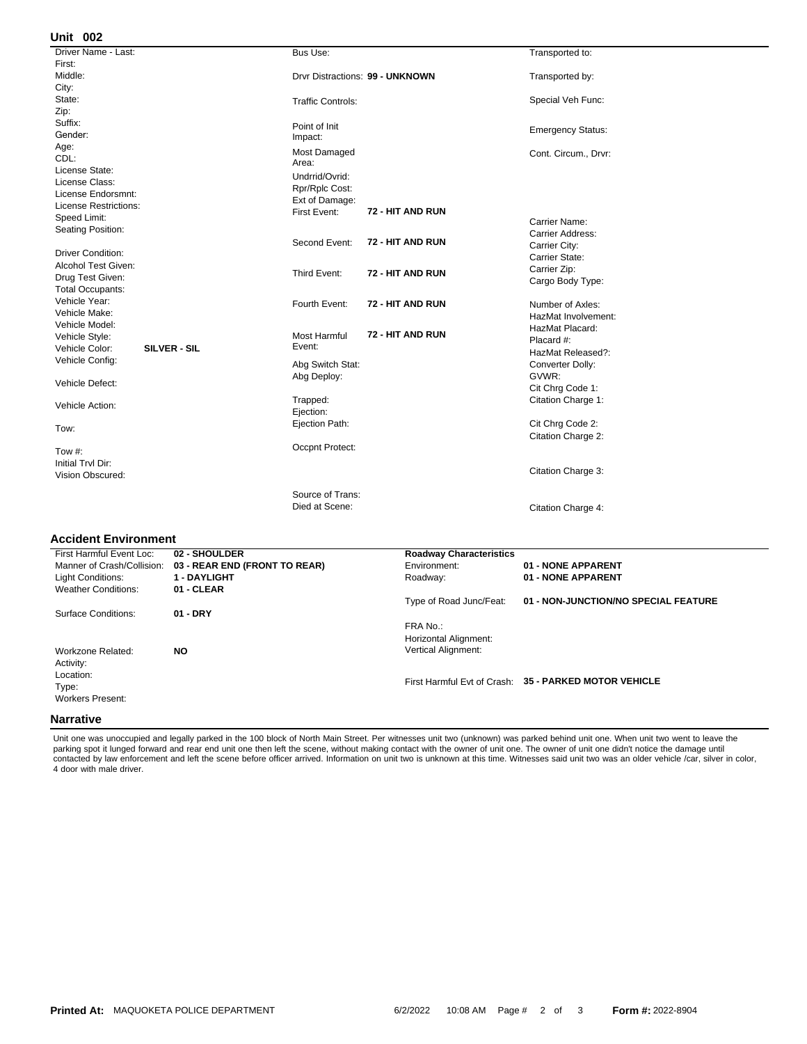## **002 Unit**

| Driver Name - Last:            | Bus Use:                                | Transported to:          |
|--------------------------------|-----------------------------------------|--------------------------|
| First:                         |                                         |                          |
| Middle:                        | Drvr Distractions: 99 - UNKNOWN         | Transported by:          |
| City:                          |                                         |                          |
| State:                         | <b>Traffic Controls:</b>                | Special Veh Func:        |
| Zip:                           |                                         |                          |
| Suffix:                        | Point of Init                           | <b>Emergency Status:</b> |
| Gender:                        | Impact:                                 |                          |
| Age:                           | Most Damaged                            | Cont. Circum., Drvr:     |
| CDL:                           | Area:                                   |                          |
| License State:                 | Undrrid/Ovrid:                          |                          |
| License Class:                 | Rpr/Rplc Cost:                          |                          |
| License Endorsmnt:             | Ext of Damage:                          |                          |
| <b>License Restrictions:</b>   | 72 - HIT AND RUN<br>First Event:        |                          |
| Speed Limit:                   |                                         | Carrier Name:            |
| Seating Position:              |                                         | Carrier Address:         |
|                                | 72 - HIT AND RUN<br>Second Event:       | Carrier City:            |
| <b>Driver Condition:</b>       |                                         | Carrier State:           |
| Alcohol Test Given:            | 72 - HIT AND RUN                        | Carrier Zip:             |
| Drug Test Given:               | Third Event:                            | Cargo Body Type:         |
| <b>Total Occupants:</b>        |                                         |                          |
| Vehicle Year:                  | 72 - HIT AND RUN<br>Fourth Event:       | Number of Axles:         |
| Vehicle Make:                  |                                         | HazMat Involvement:      |
| Vehicle Model:                 |                                         | HazMat Placard:          |
| Vehicle Style:                 | 72 - HIT AND RUN<br><b>Most Harmful</b> | Placard #:               |
| Vehicle Color:<br>SILVER - SIL | Event:                                  | HazMat Released?:        |
| Vehicle Config:                | Abg Switch Stat:                        | Converter Dolly:         |
|                                | Abg Deploy:                             | GVWR:                    |
| Vehicle Defect:                |                                         | Cit Chrg Code 1:         |
|                                | Trapped:                                | Citation Charge 1:       |
| Vehicle Action:                | Ejection:                               |                          |
|                                | Ejection Path:                          | Cit Chrg Code 2:         |
| Tow:                           |                                         | Citation Charge 2:       |
|                                | Occpnt Protect:                         |                          |
| Tow #:                         |                                         |                          |
| Initial Trvl Dir:              |                                         | Citation Charge 3:       |
| Vision Obscured:               |                                         |                          |
|                                | Source of Trans:                        |                          |
|                                | Died at Scene:                          |                          |
|                                |                                         | Citation Charge 4:       |

## **Accident Environment**

| First Harmful Event Loc:   | 02 - SHOULDER                 | <b>Roadway Characteristics</b> |                                                       |
|----------------------------|-------------------------------|--------------------------------|-------------------------------------------------------|
|                            |                               |                                |                                                       |
| Manner of Crash/Collision: | 03 - REAR END (FRONT TO REAR) | Environment:                   | 01 - NONE APPARENT                                    |
| Light Conditions:          | <b>1 - DAYLIGHT</b>           | Roadway:                       | 01 - NONE APPARENT                                    |
| <b>Weather Conditions:</b> | 01 - CLEAR                    |                                |                                                       |
|                            |                               | Type of Road Junc/Feat:        | 01 - NON-JUNCTION/NO SPECIAL FEATURE                  |
| Surface Conditions:        | $01 - DRY$                    |                                |                                                       |
|                            |                               | FRA No.:                       |                                                       |
|                            |                               | Horizontal Alignment:          |                                                       |
| Workzone Related:          | <b>NO</b>                     | <b>Vertical Alignment:</b>     |                                                       |
| Activity:                  |                               |                                |                                                       |
| Location:                  |                               |                                |                                                       |
| Type:                      |                               |                                | First Harmful Evt of Crash: 35 - PARKED MOTOR VEHICLE |
| <b>Workers Present:</b>    |                               |                                |                                                       |
|                            |                               |                                |                                                       |
| <b>Narrative</b>           |                               |                                |                                                       |

Unit one was unoccupied and legally parked in the 100 block of North Main Street. Per witnesses unit two (unknown) was parked behind unit one. When unit two went to leave the<br>parking spot it lunged forward and rear end uni contacted by law enforcement and left the scene before officer arrived. Information on unit two is unknown at this time. Witnesses said unit two was an older vehicle /car, silver in color, 4 door with male driver.